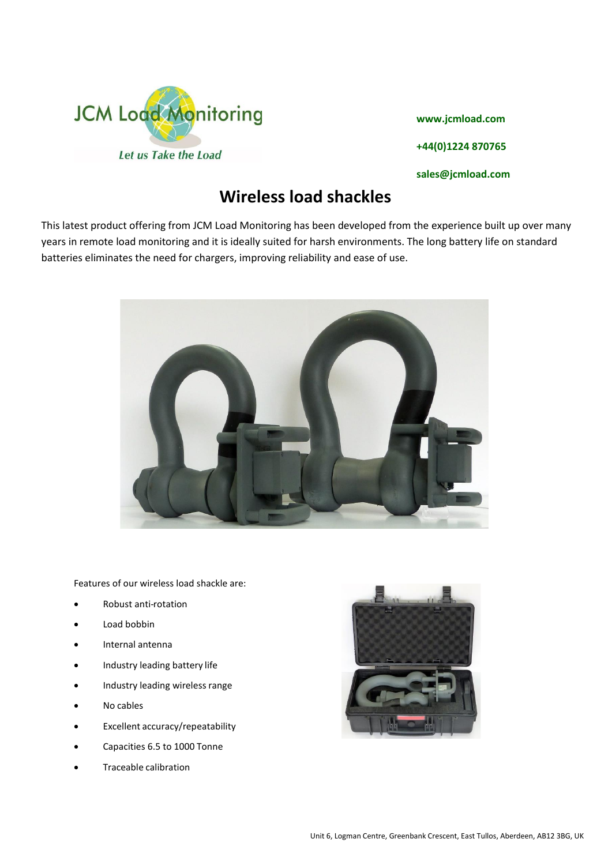

**www.jcmload.com +44(0)1224 870765 sales@jcmload.com**

## **Wireless load shackles**

This latest product offering from JCM Load Monitoring has been developed from the experience built up over many years in remote load monitoring and it is ideally suited for harsh environments. The long battery life on standard batteries eliminates the need for chargers, improving reliability and ease of use.



Features of our wireless load shackle are:

- Robust anti-rotation
- Load bobbin
- Internal antenna
- Industry leading battery life
- Industry leading wireless range
- No cables
- Excellent accuracy/repeatability
- Capacities 6.5 to 1000 Tonne
- Traceable calibration